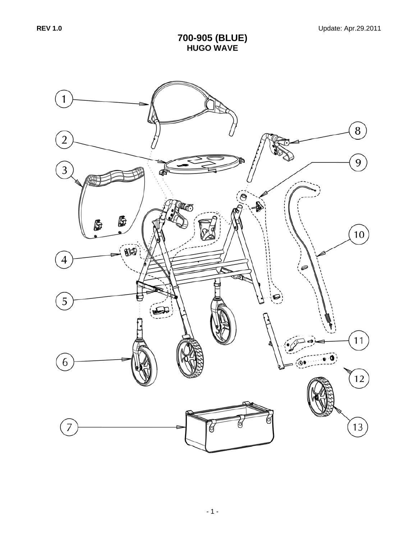## **700-905 (BLUE) HUGO WAVE**